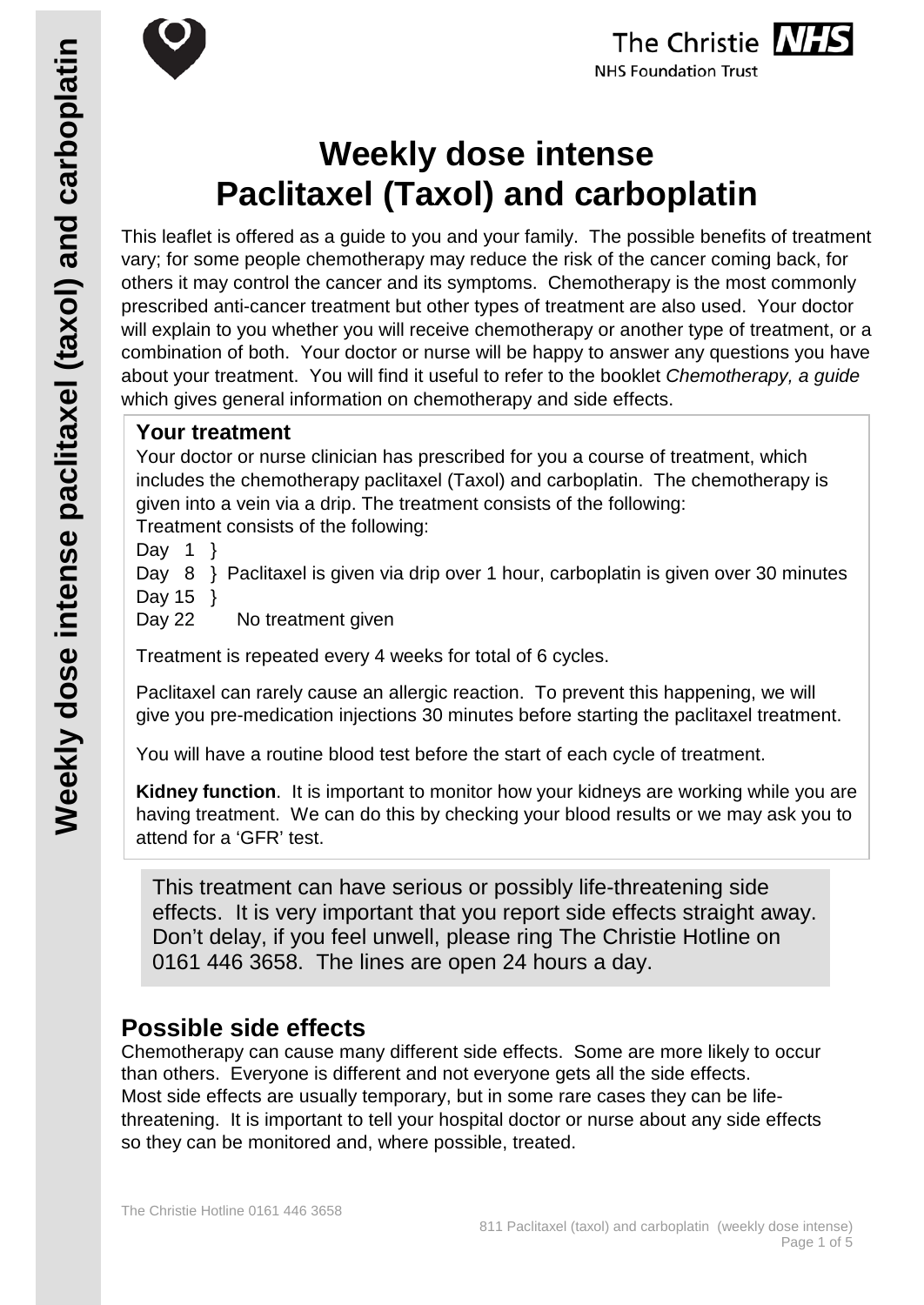



# **Weekly dose intense Paclitaxel (Taxol) and carboplatin**

This leaflet is offered as a guide to you and your family. The possible benefits of treatment vary; for some people chemotherapy may reduce the risk of the cancer coming back, for others it may control the cancer and its symptoms. Chemotherapy is the most commonly prescribed anti-cancer treatment but other types of treatment are also used. Your doctor will explain to you whether you will receive chemotherapy or another type of treatment, or a combination of both. Your doctor or nurse will be happy to answer any questions you have about your treatment. You will find it useful to refer to the booklet *Chemotherapy, a guide* which gives general information on chemotherapy and side effects.

# **Your treatment**

Your doctor or nurse clinician has prescribed for you a course of treatment, which includes the chemotherapy paclitaxel (Taxol) and carboplatin. The chemotherapy is given into a vein via a drip. The treatment consists of the following: Treatment consists of the following:

Day 1  $\}$ 

Day 8 } Paclitaxel is given via drip over 1 hour, carboplatin is given over 30 minutes Day 15 }

Day 22 No treatment given

Treatment is repeated every 4 weeks for total of 6 cycles.

Paclitaxel can rarely cause an allergic reaction. To prevent this happening, we will give you pre-medication injections 30 minutes before starting the paclitaxel treatment.

You will have a routine blood test before the start of each cycle of treatment.

**Kidney function**. It is important to monitor how your kidneys are working while you are having treatment. We can do this by checking your blood results or we may ask you to attend for a 'GFR' test.

This treatment can have serious or possibly life-threatening side effects. It is very important that you report side effects straight away. Don't delay, if you feel unwell, please ring The Christie Hotline on 0161 446 3658. The lines are open 24 hours a day.

# **Possible side effects**

Chemotherapy can cause many different side effects. Some are more likely to occur than others. Everyone is different and not everyone gets all the side effects. Most side effects are usually temporary, but in some rare cases they can be lifethreatening. It is important to tell your hospital doctor or nurse about any side effects so they can be monitored and, where possible, treated.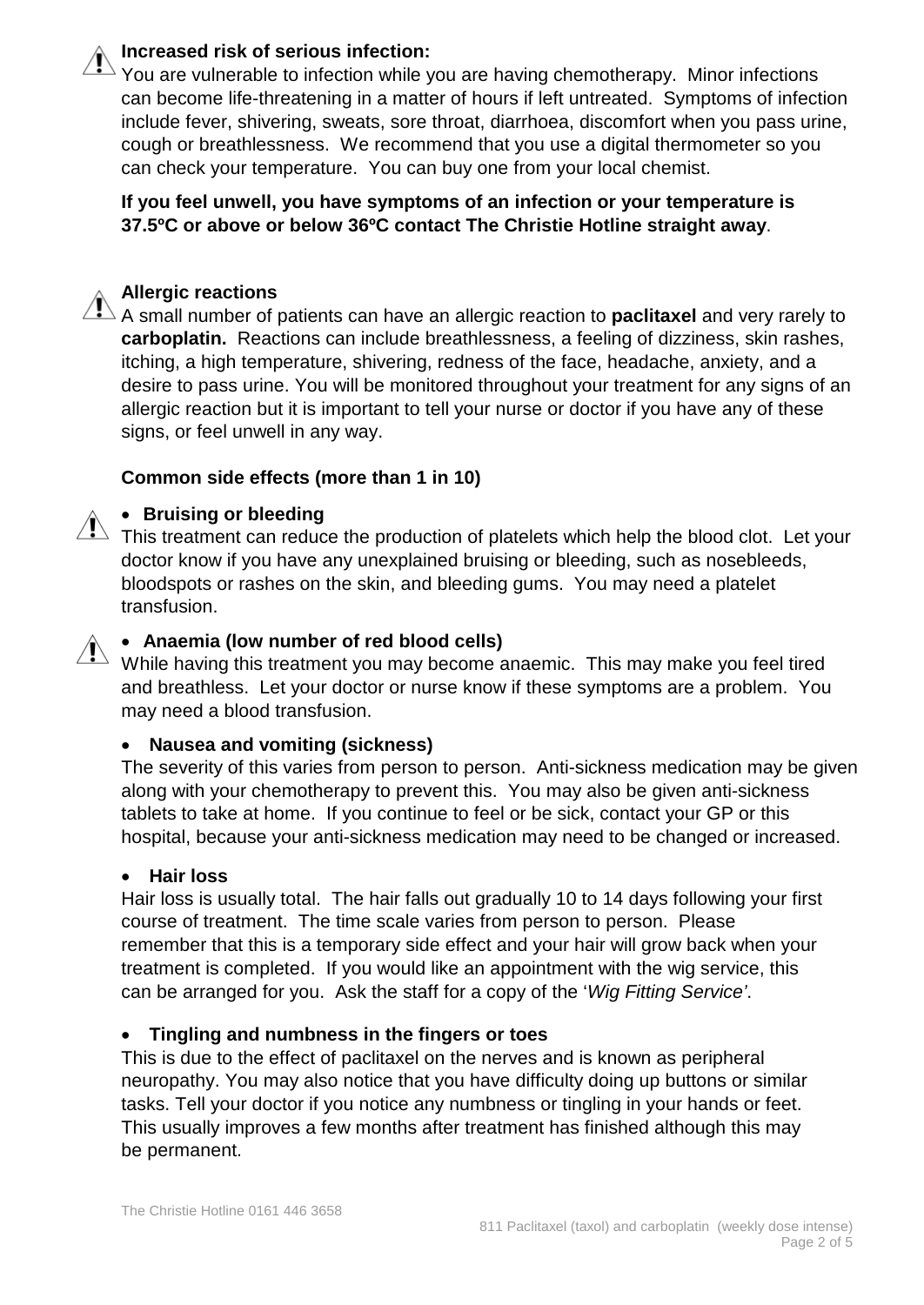# **Increased risk of serious infection:**

You are vulnerable to infection while you are having chemotherapy. Minor infections can become life-threatening in a matter of hours if left untreated. Symptoms of infection include fever, shivering, sweats, sore throat, diarrhoea, discomfort when you pass urine, cough or breathlessness. We recommend that you use a digital thermometer so you can check your temperature. You can buy one from your local chemist.

**If you feel unwell, you have symptoms of an infection or your temperature is 37.5ºC or above or below 36ºC contact The Christie Hotline straight away**.

# **Allergic reactions**

A small number of patients can have an allergic reaction to **paclitaxel** and very rarely to **carboplatin.** Reactions can include breathlessness, a feeling of dizziness, skin rashes, itching, a high temperature, shivering, redness of the face, headache, anxiety, and a desire to pass urine. You will be monitored throughout your treatment for any signs of an allergic reaction but it is important to tell your nurse or doctor if you have any of these signs, or feel unwell in any way.

#### **Common side effects (more than 1 in 10)**

# • **Bruising or bleeding**

This treatment can reduce the production of platelets which help the blood clot. Let your doctor know if you have any unexplained bruising or bleeding, such as nosebleeds, bloodspots or rashes on the skin, and bleeding gums. You may need a platelet transfusion.

# • **Anaemia (low number of red blood cells)**

While having this treatment you may become anaemic. This may make you feel tired<br>While having this treatment you may become anaemic. This may make you feel tired and breathless. Let your doctor or nurse know if these symptoms are a problem. You may need a blood transfusion.

#### • **Nausea and vomiting (sickness)**

The severity of this varies from person to person. Anti-sickness medication may be given along with your chemotherapy to prevent this. You may also be given anti-sickness tablets to take at home. If you continue to feel or be sick, contact your GP or this hospital, because your anti-sickness medication may need to be changed or increased.

#### • **Hair loss**

Hair loss is usually total. The hair falls out gradually 10 to 14 days following your first course of treatment. The time scale varies from person to person. Please remember that this is a temporary side effect and your hair will grow back when your treatment is completed. If you would like an appointment with the wig service, this can be arranged for you. Ask the staff for a copy of the '*Wig Fitting Service'*.

#### • **Tingling and numbness in the fingers or toes**

This is due to the effect of paclitaxel on the nerves and is known as peripheral neuropathy. You may also notice that you have difficulty doing up buttons or similar tasks. Tell your doctor if you notice any numbness or tingling in your hands or feet. This usually improves a few months after treatment has finished although this may be permanent.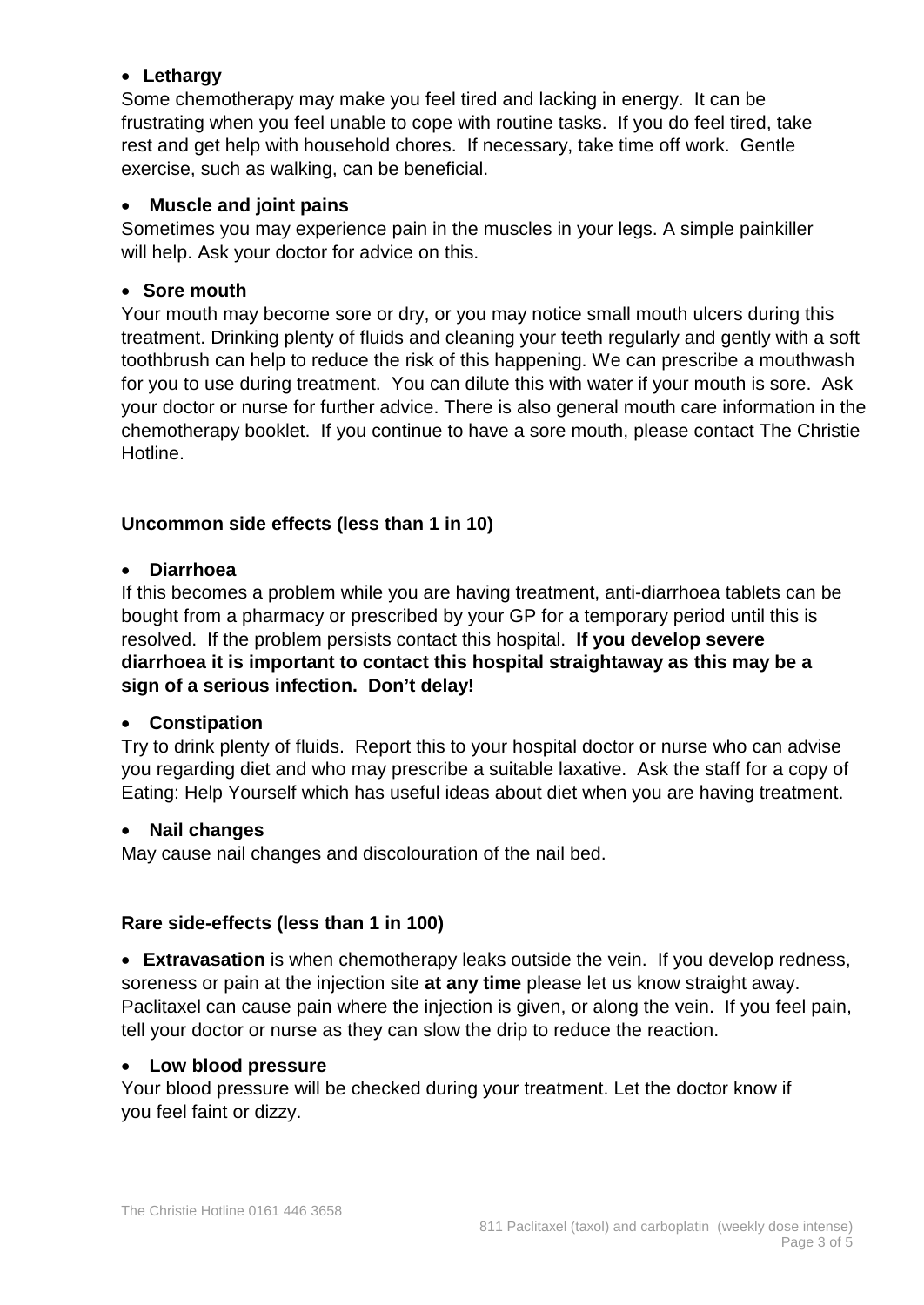# • **Lethargy**

Some chemotherapy may make you feel tired and lacking in energy. It can be frustrating when you feel unable to cope with routine tasks. If you do feel tired, take rest and get help with household chores. If necessary, take time off work. Gentle exercise, such as walking, can be beneficial.

# • **Muscle and joint pains**

Sometimes you may experience pain in the muscles in your legs. A simple painkiller will help. Ask your doctor for advice on this.

# • **Sore mouth**

Your mouth may become sore or dry, or you may notice small mouth ulcers during this treatment. Drinking plenty of fluids and cleaning your teeth regularly and gently with a soft toothbrush can help to reduce the risk of this happening. We can prescribe a mouthwash for you to use during treatment. You can dilute this with water if your mouth is sore. Ask your doctor or nurse for further advice. There is also general mouth care information in the chemotherapy booklet. If you continue to have a sore mouth, please contact The Christie Hotline.

# **Uncommon side effects (less than 1 in 10)**

# • **Diarrhoea**

If this becomes a problem while you are having treatment, anti-diarrhoea tablets can be bought from a pharmacy or prescribed by your GP for a temporary period until this is resolved. If the problem persists contact this hospital. **If you develop severe diarrhoea it is important to contact this hospital straightaway as this may be a sign of a serious infection. Don't delay!**

#### • **Constipation**

Try to drink plenty of fluids. Report this to your hospital doctor or nurse who can advise you regarding diet and who may prescribe a suitable laxative. Ask the staff for a copy of Eating: Help Yourself which has useful ideas about diet when you are having treatment.

#### • **Nail changes**

May cause nail changes and discolouration of the nail bed.

# **Rare side-effects (less than 1 in 100)**

• **Extravasation** is when chemotherapy leaks outside the vein. If you develop redness, soreness or pain at the injection site **at any time** please let us know straight away. Paclitaxel can cause pain where the injection is given, or along the vein. If you feel pain, tell your doctor or nurse as they can slow the drip to reduce the reaction.

#### • **Low blood pressure**

Your blood pressure will be checked during your treatment. Let the doctor know if you feel faint or dizzy.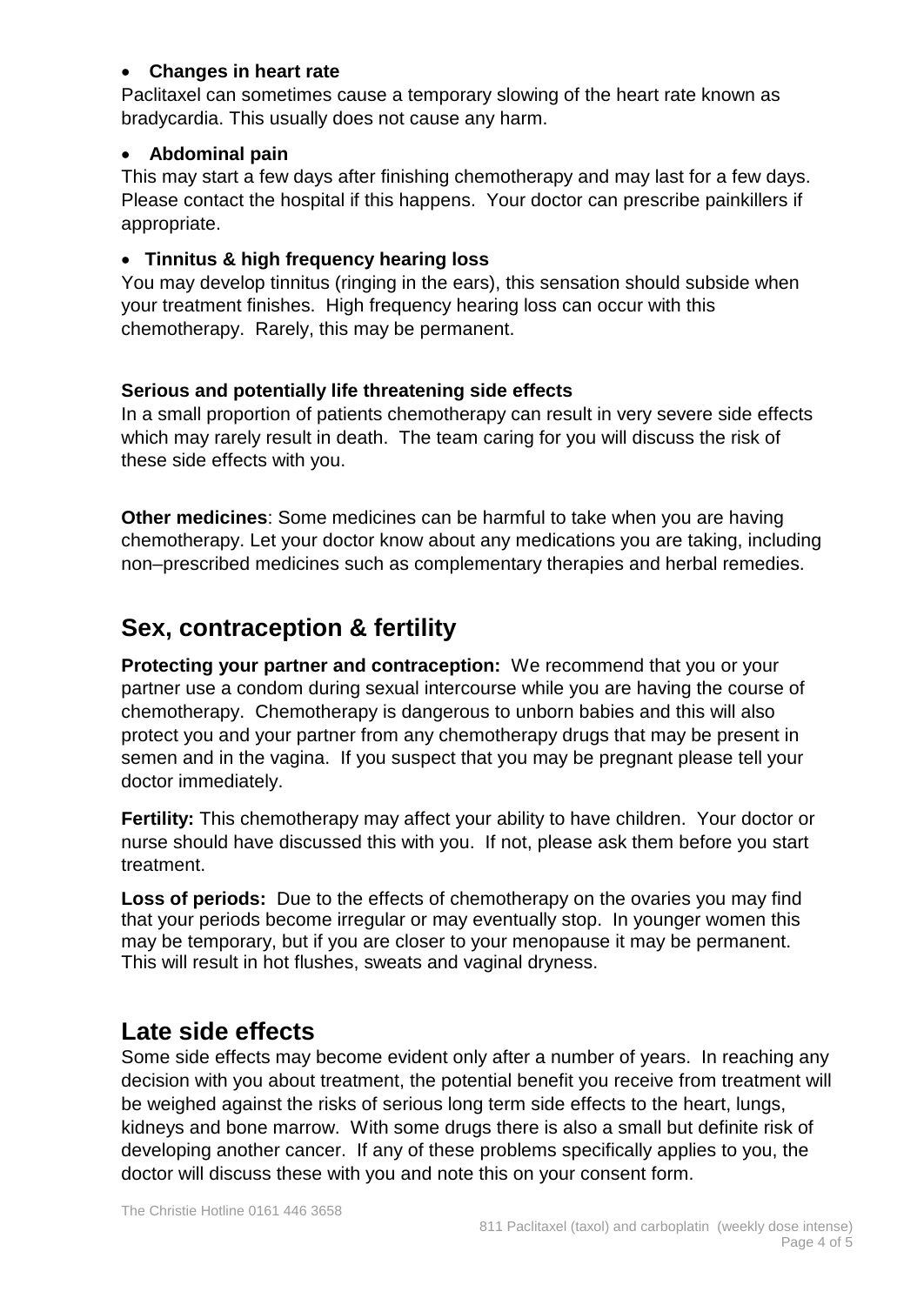# • **Changes in heart rate**

Paclitaxel can sometimes cause a temporary slowing of the heart rate known as bradycardia. This usually does not cause any harm.

# • **Abdominal pain**

This may start a few days after finishing chemotherapy and may last for a few days. Please contact the hospital if this happens. Your doctor can prescribe painkillers if appropriate.

# • **Tinnitus & high frequency hearing loss**

You may develop tinnitus (ringing in the ears), this sensation should subside when your treatment finishes. High frequency hearing loss can occur with this chemotherapy. Rarely, this may be permanent.

# **Serious and potentially life threatening side effects**

In a small proportion of patients chemotherapy can result in very severe side effects which may rarely result in death. The team caring for you will discuss the risk of these side effects with you.

**Other medicines**: Some medicines can be harmful to take when you are having chemotherapy. Let your doctor know about any medications you are taking, including non–prescribed medicines such as complementary therapies and herbal remedies.

# **Sex, contraception & fertility**

**Protecting your partner and contraception:** We recommend that you or your partner use a condom during sexual intercourse while you are having the course of chemotherapy. Chemotherapy is dangerous to unborn babies and this will also protect you and your partner from any chemotherapy drugs that may be present in semen and in the vagina. If you suspect that you may be pregnant please tell your doctor immediately.

**Fertility:** This chemotherapy may affect your ability to have children. Your doctor or nurse should have discussed this with you. If not, please ask them before you start treatment.

**Loss of periods:** Due to the effects of chemotherapy on the ovaries you may find that your periods become irregular or may eventually stop. In younger women this may be temporary, but if you are closer to your menopause it may be permanent. This will result in hot flushes, sweats and vaginal dryness.

# **Late side effects**

Some side effects may become evident only after a number of years. In reaching any decision with you about treatment, the potential benefit you receive from treatment will be weighed against the risks of serious long term side effects to the heart, lungs, kidneys and bone marrow. With some drugs there is also a small but definite risk of developing another cancer. If any of these problems specifically applies to you, the doctor will discuss these with you and note this on your consent form.